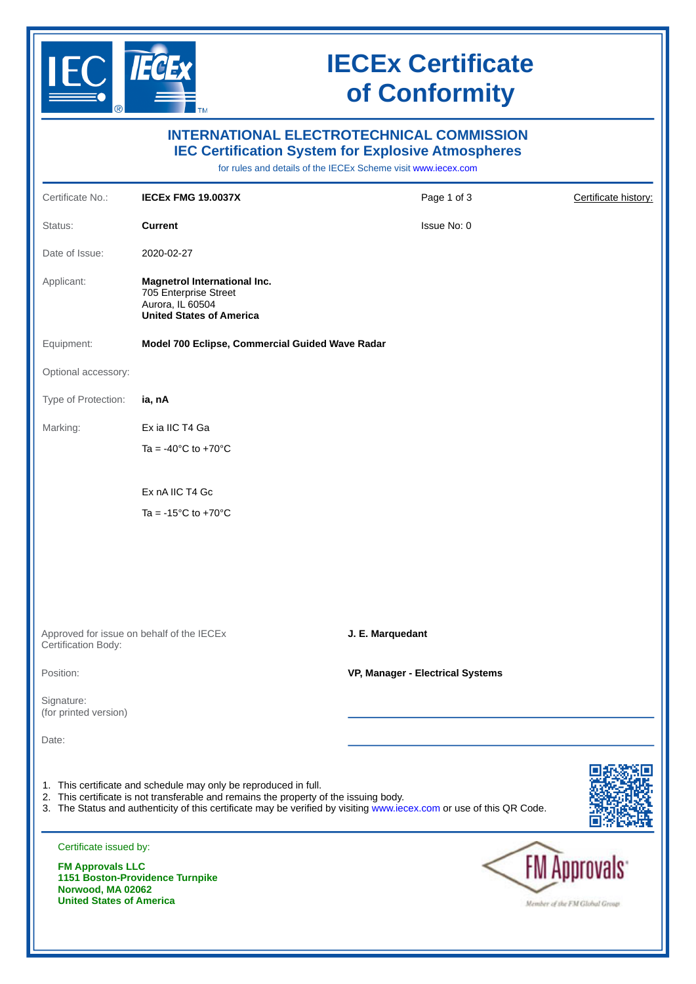

## **IECEx Certificate of Conformity**

| <b>INTERNATIONAL ELECTROTECHNICAL COMMISSION</b><br><b>IEC Certification System for Explosive Atmospheres</b><br>for rules and details of the IECEx Scheme visit www.iecex.com |                                                                                                                                                                                                                                                                                   |                                  |                                                        |
|--------------------------------------------------------------------------------------------------------------------------------------------------------------------------------|-----------------------------------------------------------------------------------------------------------------------------------------------------------------------------------------------------------------------------------------------------------------------------------|----------------------------------|--------------------------------------------------------|
| Certificate No.:                                                                                                                                                               | <b>IECEX FMG 19.0037X</b>                                                                                                                                                                                                                                                         | Page 1 of 3                      | Certificate history:                                   |
| Status:                                                                                                                                                                        | <b>Current</b>                                                                                                                                                                                                                                                                    | Issue No: 0                      |                                                        |
| Date of Issue:                                                                                                                                                                 | 2020-02-27                                                                                                                                                                                                                                                                        |                                  |                                                        |
| Applicant:                                                                                                                                                                     | Magnetrol International Inc.<br>705 Enterprise Street<br>Aurora, IL 60504<br><b>United States of America</b>                                                                                                                                                                      |                                  |                                                        |
| Equipment:                                                                                                                                                                     | Model 700 Eclipse, Commercial Guided Wave Radar                                                                                                                                                                                                                                   |                                  |                                                        |
| Optional accessory:                                                                                                                                                            |                                                                                                                                                                                                                                                                                   |                                  |                                                        |
| Type of Protection:                                                                                                                                                            | ia, nA                                                                                                                                                                                                                                                                            |                                  |                                                        |
| Marking:                                                                                                                                                                       | Ex ia IIC T4 Ga                                                                                                                                                                                                                                                                   |                                  |                                                        |
|                                                                                                                                                                                | Ta = -40 $^{\circ}$ C to +70 $^{\circ}$ C                                                                                                                                                                                                                                         |                                  |                                                        |
|                                                                                                                                                                                |                                                                                                                                                                                                                                                                                   |                                  |                                                        |
|                                                                                                                                                                                | Ex nA IIC T4 Gc<br>Ta = $-15^{\circ}$ C to $+70^{\circ}$ C                                                                                                                                                                                                                        |                                  |                                                        |
|                                                                                                                                                                                | Approved for issue on behalf of the IECEX                                                                                                                                                                                                                                         | J. E. Marquedant                 |                                                        |
| Certification Body:                                                                                                                                                            |                                                                                                                                                                                                                                                                                   |                                  |                                                        |
| Position:                                                                                                                                                                      |                                                                                                                                                                                                                                                                                   | VP, Manager - Electrical Systems |                                                        |
| Signature:<br>(for printed version)                                                                                                                                            |                                                                                                                                                                                                                                                                                   |                                  |                                                        |
| Date:                                                                                                                                                                          |                                                                                                                                                                                                                                                                                   |                                  |                                                        |
|                                                                                                                                                                                | 1. This certificate and schedule may only be reproduced in full.<br>2. This certificate is not transferable and remains the property of the issuing body.<br>3. The Status and authenticity of this certificate may be verified by visiting www.iecex.com or use of this QR Code. |                                  |                                                        |
| Certificate issued by:                                                                                                                                                         |                                                                                                                                                                                                                                                                                   |                                  |                                                        |
| <b>FM Approvals LLC</b><br>1151 Boston-Providence Turnpike<br>Norwood, MA 02062<br><b>United States of America</b>                                                             |                                                                                                                                                                                                                                                                                   |                                  | <b>FM Approvals:</b><br>Member of the FM Global Group. |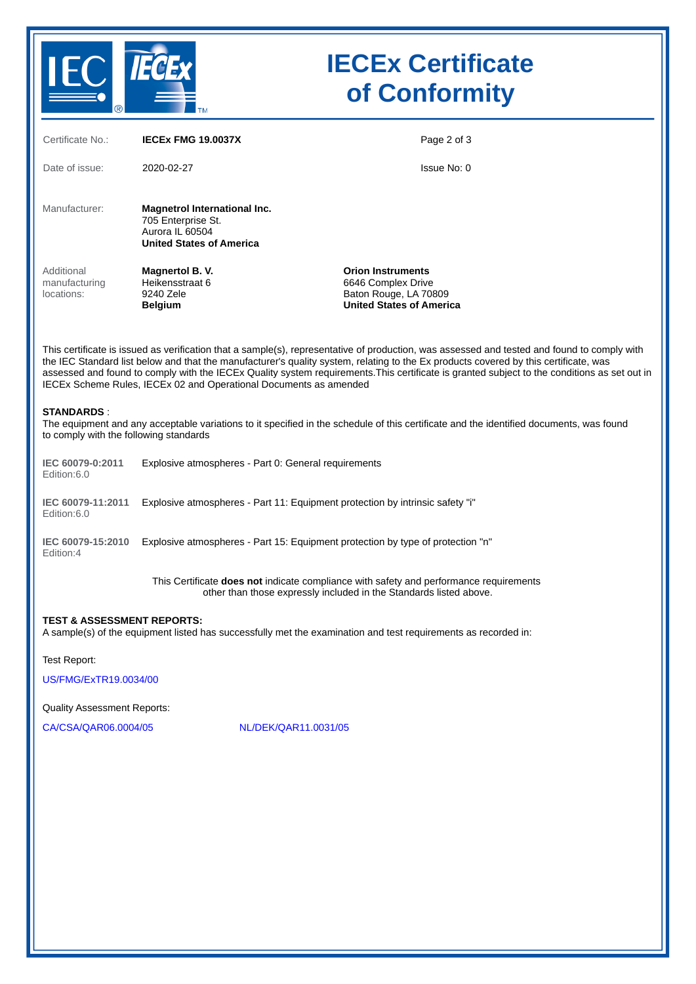

# **IECEx Certificate of Conformity**

| Certificate No.:                                            | <b>IECEX FMG 19.0037X</b>                                                                                | Page 2 of 3                                                                                                                                                                                                                                                                                                                                                                                                                         |  |
|-------------------------------------------------------------|----------------------------------------------------------------------------------------------------------|-------------------------------------------------------------------------------------------------------------------------------------------------------------------------------------------------------------------------------------------------------------------------------------------------------------------------------------------------------------------------------------------------------------------------------------|--|
| Date of issue:                                              | 2020-02-27                                                                                               | Issue No: 0                                                                                                                                                                                                                                                                                                                                                                                                                         |  |
| Manufacturer:                                               | Magnetrol International Inc.<br>705 Enterprise St.<br>Aurora IL 60504<br><b>United States of America</b> |                                                                                                                                                                                                                                                                                                                                                                                                                                     |  |
| Additional<br>manufacturing<br>locations:                   | Magnertol B.V.<br>Heikensstraat 6<br>9240 Zele<br><b>Belgium</b>                                         | <b>Orion Instruments</b><br>6646 Complex Drive<br>Baton Rouge, LA 70809<br><b>United States of America</b>                                                                                                                                                                                                                                                                                                                          |  |
|                                                             | IECEx Scheme Rules, IECEx 02 and Operational Documents as amended                                        | This certificate is issued as verification that a sample(s), representative of production, was assessed and tested and found to comply with<br>the IEC Standard list below and that the manufacturer's quality system, relating to the Ex products covered by this certificate, was<br>assessed and found to comply with the IECEx Quality system requirements. This certificate is granted subject to the conditions as set out in |  |
| <b>STANDARDS:</b><br>to comply with the following standards |                                                                                                          | The equipment and any acceptable variations to it specified in the schedule of this certificate and the identified documents, was found                                                                                                                                                                                                                                                                                             |  |
| IEC 60079-0:2011<br>Edition: 6.0                            | Explosive atmospheres - Part 0: General requirements                                                     |                                                                                                                                                                                                                                                                                                                                                                                                                                     |  |
| IEC 60079-11:2011<br>Edition:6.0                            | Explosive atmospheres - Part 11: Equipment protection by intrinsic safety "i"                            |                                                                                                                                                                                                                                                                                                                                                                                                                                     |  |
| IEC 60079-15:2010<br>Edition:4                              | Explosive atmospheres - Part 15: Equipment protection by type of protection "n"                          |                                                                                                                                                                                                                                                                                                                                                                                                                                     |  |
|                                                             |                                                                                                          | This Certificate does not indicate compliance with safety and performance requirements<br>other than those expressly included in the Standards listed above.                                                                                                                                                                                                                                                                        |  |
| <b>TEST &amp; ASSESSMENT REPORTS:</b>                       |                                                                                                          | A sample(s) of the equipment listed has successfully met the examination and test requirements as recorded in:                                                                                                                                                                                                                                                                                                                      |  |
| <b>Test Report:</b>                                         |                                                                                                          |                                                                                                                                                                                                                                                                                                                                                                                                                                     |  |
| US/FMG/ExTR19.0034/00                                       |                                                                                                          |                                                                                                                                                                                                                                                                                                                                                                                                                                     |  |
| Quality Assessment Reports:                                 |                                                                                                          |                                                                                                                                                                                                                                                                                                                                                                                                                                     |  |
| CA/CSA/QAR06.0004/05                                        | NL/DEK/QAR11.0031/05                                                                                     |                                                                                                                                                                                                                                                                                                                                                                                                                                     |  |